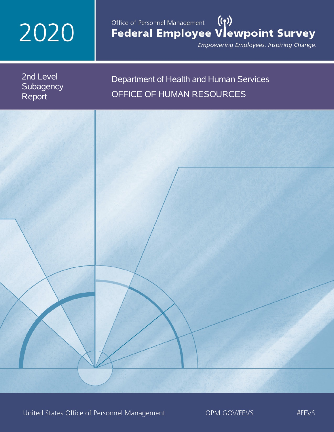# 2020

## Office of Personnel Management (())<br>Federal Employee Vlewpoint Survey

Empowering Employees. Inspiring Change.

2nd Level **Subagency** Report

## Department of Health and Human Services OFFICE OF HUMAN RESOURCES

United States Office of Personnel Management

OPM.GOV/FEVS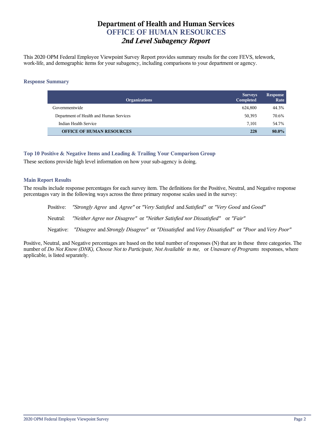## **Department of Health and Human Services OFFICE OF HUMAN RESOURCES** *2nd Level Subagency Report*

This 2020 OPM Federal Employee Viewpoint Survey Report provides summary results for the core FEVS, telework, work-life, and demographic items for your subagency, including comparisons to your department or agency.

## **Response Summary**

| <b>Organizations</b>                    | <b>Surveys</b><br>Completed | <b>Response</b><br>Rate |
|-----------------------------------------|-----------------------------|-------------------------|
| Governmentwide                          | 624.800                     | 44.3%                   |
| Department of Health and Human Services | 50,393                      | 70.6%                   |
| Indian Health Service                   | 7.101                       | 54.7%                   |
| <b>OFFICE OF HUMAN RESOURCES</b>        | 228                         | 80.0%                   |

## **Top 10 Positive & Negative Items and Leading & Trailing Your Comparison Group**

These sections provide high level information on how your sub-agency is doing.

## **Main Report Results**

The results include response percentages for each survey item. The definitions for the Positive, Neutral, and Negative response percentages vary in the following ways across the three primary response scales used in the survey:

Positive: *"Strongly Agree* and *Agree"* or *"Very Satisfied* and *Satisfied"* or *"Very Good* and *Good"* Neutral: *"Neither Agree nor Disagree"* or *"Neither Satisfied nor Dissatisfied"* or *"Fair"* Negative: *"Disagree* and *Strongly Disagree"* or *"Dissatisfied* and *Very Dissatisfied"* or *"Poor* and *Very Poor"*

Positive, Neutral, and Negative percentages are based on the total number of responses (N) that are in these three categories. The number of *Do Not Know (DNK), Choose Not to Participate, Not Available to me,* or *Unaware of Programs* responses, where applicable, is listed separately.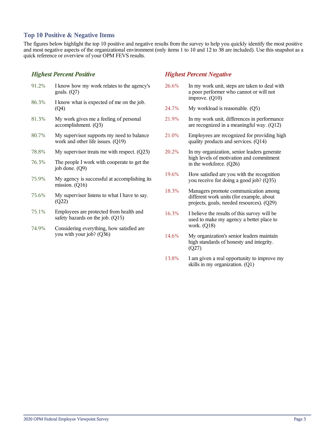## **Top 10 Positive & Negative Items**

The figures below highlight the top 10 positive and negative results from the survey to help you quickly identify the most positive and most negative aspects of the organizational environment (only items 1 to 10 and 12 to 38 are included). Use this snapshot as a quick reference or overview of your OPM FEVS results.

## *Highest Percent Positive*

- 91.2% I know how my work relates to the agency's goals. (Q7) 86.3% I know what is expected of me on the job. (Q4) 81.3% My work gives me a feeling of personal accomplishment. (Q3) 80.7% My supervisor supports my need to balance work and other life issues. (Q19)
- 78.8% My supervisor treats me with respect. (Q23)
- 76.3% The people I work with cooperate to get the job done. (Q9)
- 75.9% My agency is successful at accomplishing its mission. (Q16)
- 75.6% My supervisor listens to what I have to say. (Q22)
- 75.1% Employees are protected from health and safety hazards on the job. (Q15)
- 74.9% Considering everything, how satisfied are you with your job? (Q36)

## *Highest Percent Negative*

- 26.6% In my work unit, steps are taken to deal with a poor performer who cannot or will not improve. (Q10)
- 24.7% My workload is reasonable. (Q5)
- 21.9% In my work unit, differences in performance are recognized in a meaningful way. (Q12)
- 21.0% Employees are recognized for providing high quality products and services. (Q14)
- 20.2% In my organization, senior leaders generate high levels of motivation and commitment in the workforce. (Q26)
- 19.6% How satisfied are you with the recognition you receive for doing a good job? (Q35)
- 18.3% Managers promote communication among different work units (for example, about projects, goals, needed resources). (Q29)
- 16.3% I believe the results of this survey will be used to make my agency a better place to work. (Q18)
- 14.6% My organization's senior leaders maintain high standards of honesty and integrity. (Q27)
- 13.8% I am given a real opportunity to improve my skills in my organization. (Q1)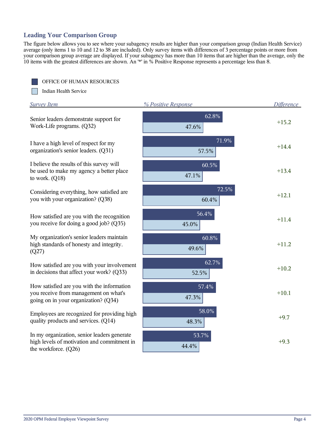## **Leading Your Comparison Group**

OFFICE OF HUMAN RESOURCES

The figure below allows you to see where your subagency results are higher than your comparison group (Indian Health Service) average (only items 1 to 10 and 12 to 38 are included). Only survey items with differences of 3 percentage points or more from your comparison group average are displayed. If your subagency has more than 10 items that are higher than the average, only the 10 items with the greatest differences are shown. An '\*' in % Positive Response represents a percentage less than 8.

| Indian Health Service                                                                                                       |                     |                   |
|-----------------------------------------------------------------------------------------------------------------------------|---------------------|-------------------|
| <b>Survey Item</b>                                                                                                          | % Positive Response | <b>Difference</b> |
| Senior leaders demonstrate support for<br>Work-Life programs. (Q32)                                                         | 62.8%<br>47.6%      | $+15.2$           |
| I have a high level of respect for my<br>organization's senior leaders. (Q31)                                               | 71.9%<br>57.5%      | $+14.4$           |
| I believe the results of this survey will<br>be used to make my agency a better place<br>to work. $(Q18)$                   | 60.5%<br>47.1%      | $+13.4$           |
| Considering everything, how satisfied are<br>you with your organization? (Q38)                                              | 72.5%<br>60.4%      | $+12.1$           |
| How satisfied are you with the recognition<br>you receive for doing a good job? (Q35)                                       | 56.4%<br>45.0%      | $+11.4$           |
| My organization's senior leaders maintain<br>high standards of honesty and integrity.<br>(Q27)                              | 60.8%<br>49.6%      | $+11.2$           |
| How satisfied are you with your involvement<br>in decisions that affect your work? (Q33)                                    | 62.7%<br>52.5%      | $+10.2$           |
| How satisfied are you with the information<br>you receive from management on what's<br>going on in your organization? (Q34) | 57.4%<br>47.3%      | $+10.1$           |
| Employees are recognized for providing high<br>quality products and services. (Q14)                                         | 58.0%<br>48.3%      | $+9.7$            |
| In my organization, senior leaders generate<br>high levels of motivation and commitment in<br>the workforce. (Q26)          | 53.7%<br>44.4%      | $+9.3$            |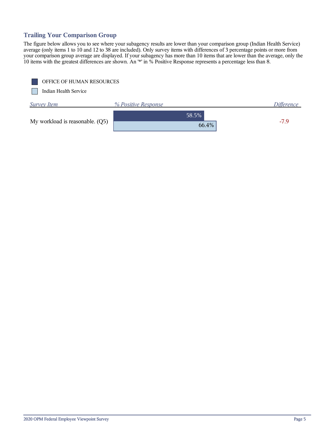## **Trailing Your Comparison Group**

The figure below allows you to see where your subagency results are lower than your comparison group (Indian Health Service) average (only items 1 to 10 and 12 to 38 are included). Only survey items with differences of 3 percentage points or more from your comparison group average are displayed. If your subagency has more than 10 items that are lower than the average, only the 10 items with the greatest differences are shown. An '\*' in % Positive Response represents a percentage less than 8.

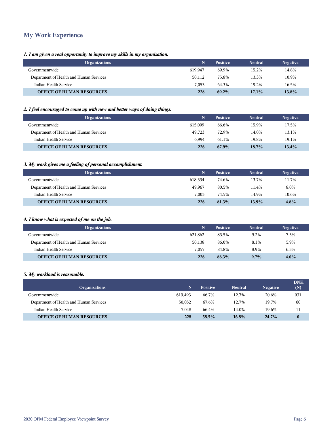## **My Work Experience**

## *1. I am given a real opportunity to improve my skills in my organization.*

| <b>Organizations</b>                    |         | <b>Positive</b> | <b>Neutral</b> | <b>Negative</b> |
|-----------------------------------------|---------|-----------------|----------------|-----------------|
| Governmentwide                          | 619.947 | 69.9%           | 15.2%          | 14.8%           |
| Department of Health and Human Services | 50.112  | 75.8%           | 13.3%          | 10.9%           |
| Indian Health Service                   | 7.053   | 64.3%           | 19.2%          | 16.5%           |
| <b>OFFICE OF HUMAN RESOURCES</b>        | 228     | $69.2\%$        | $17.1\%$       | 13.8%           |

## *2. I feel encouraged to come up with new and better ways of doing things.*

| <b>Organizations</b>                    | N       | <b>Positive</b> | <b>Neutral</b> | <b>Negative</b> |
|-----------------------------------------|---------|-----------------|----------------|-----------------|
| Governmentwide                          | 615.099 | 66.6%           | 15.9%          | 17.5%           |
| Department of Health and Human Services | 49.723  | 72.9%           | 14.0%          | 13.1%           |
| Indian Health Service                   | 6.994   | 61.1%           | 19.8%          | 19.1%           |
| <b>OFFICE OF HUMAN RESOURCES</b>        | 226     | 67.9%           | $18.7\%$       | 13.4%           |

## *3. My work gives me a feeling of personal accomplishment.*

| <b>Organizations</b>                    |         | <b>Positive</b> | <b>Neutral</b> | <b>Negative</b> |
|-----------------------------------------|---------|-----------------|----------------|-----------------|
| Governmentwide                          | 618.334 | 74.6%           | 13.7%          | 11.7%           |
| Department of Health and Human Services | 49.967  | 80.5%           | 11.4%          | 8.0%            |
| Indian Health Service                   | 7.003   | 74.5%           | 14.9%          | 10.6%           |
| <b>OFFICE OF HUMAN RESOURCES</b>        | 226     | 81.3%           | 13.9%          | 4.8%            |

## *4. I know what is expected of me on the job.*

| <b>Organizations</b>                    |         | <b>Positive</b> | <b>Neutral</b> | <b>Negative</b> |
|-----------------------------------------|---------|-----------------|----------------|-----------------|
| Governmentwide                          | 621.862 | 83.5%           | 9.2%           | 7.3%            |
| Department of Health and Human Services | 50,138  | 86.0%           | 8.1%           | 5.9%            |
| Indian Health Service                   | 7.057   | 84.8%           | 8.9%           | 6.3%            |
| <b>OFFICE OF HUMAN RESOURCES</b>        | 226     | 86.3%           | $9.7\%$        | $4.0\%$         |

#### *5. My workload is reasonable.*

| <b>Organizations</b>                    | N       | <b>Positive</b> | <b>Neutral</b> | <b>Negative</b> | <b>DNK</b><br>(N) |
|-----------------------------------------|---------|-----------------|----------------|-----------------|-------------------|
| Governmentwide                          | 619.493 | 66.7%           | 12.7%          | 20.6%           | 931               |
| Department of Health and Human Services | 50.052  | 67.6%           | 12.7%          | 19.7%           | 60                |
| Indian Health Service                   | 7.048   | 66.4%           | 14.0%          | 19.6%           | 11                |
| <b>OFFICE OF HUMAN RESOURCES</b>        | 228     | 58.5%           | 16.8%          | 24.7%           | $\bf{0}$          |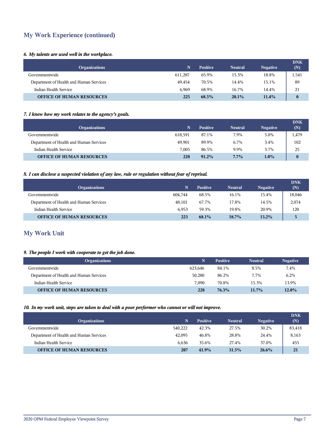## **My Work Experience (continued)**

## *6. My talents are used well in the workplace.*

| <b>Organizations</b>                    |         | <b>Positive</b> | <b>Neutral</b> | <b>Negative</b> | <b>DNK</b><br>(N) |
|-----------------------------------------|---------|-----------------|----------------|-----------------|-------------------|
| Governmentwide                          | 611,287 | 65.9%           | 15.3%          | 18.8%           | 1,541             |
| Department of Health and Human Services | 49.454  | 70.5%           | 14.4%          | 15.1%           | 89                |
| Indian Health Service                   | 6.969   | 68.9%           | 16.7%          | 14.4%           | 21                |
| <b>OFFICE OF HUMAN RESOURCES</b>        | 225     | $68.5\%$        | $20.1\%$       | 11.4%           | $\mathbf{0}$      |

## *7. I know how my work relates to the agency's goals.*

| <b>Organizations</b>                    |         | <b>Positive</b> | <b>Neutral</b> | <b>Negative</b> | <b>DNK</b><br>(N) |
|-----------------------------------------|---------|-----------------|----------------|-----------------|-------------------|
| Governmentwide                          | 618.591 | 87.1%           | 7.9%           | 5.0%            | 1,479             |
| Department of Health and Human Services | 49.901  | 89.9%           | 6.7%           | 3.4%            | 102               |
| Indian Health Service                   | 7.005   | 86.5%           | 9.9%           | 3.7%            | 25                |
| <b>OFFICE OF HUMAN RESOURCES</b>        | 228     | $91.2\%$        | $7.7\%$        | $1.0\%$         | $\mathbf{0}$      |

## *8. I can disclose a suspected violation of any law, rule or regulation without fear of reprisal.*

| <b>Organizations</b>                    |         | <b>Positive</b> | <b>Neutral</b> | <b>Negative</b> | <b>DNK</b><br>(N) |
|-----------------------------------------|---------|-----------------|----------------|-----------------|-------------------|
| Governmentwide                          | 604.744 | 68.5%           | 16.1%          | 15.4%           | 18,046            |
| Department of Health and Human Services | 48,101  | 67.7%           | 17.8%          | 14.5%           | 2,074             |
| Indian Health Service                   | 6.953   | 59.3%           | 19.8%          | 20.9%           | 120               |
| <b>OFFICE OF HUMAN RESOURCES</b>        | 223     | $68.1\%$        | $18.7\%$       | $13.2\%$        | 5                 |

## **My Work Unit**

## *9. The people I work with cooperate to get the job done.*

| <b>Organizations</b>                    | Ñ       | <b>Positive</b> | <b>Neutral</b> | <b>Negative</b> |
|-----------------------------------------|---------|-----------------|----------------|-----------------|
| Governmentwide                          | 623.646 | 84.1%           | 8.5%           | 7.4%            |
| Department of Health and Human Services | 50.280  | 86.2%           | 7.7%           | 6.2%            |
| Indian Health Service                   | 7.090   | 70.8%           | 15.3%          | 13.9%           |
| <b>OFFICE OF HUMAN RESOURCES</b>        | 228     | 76.3%           | $11.7\%$       | 12.0%           |

#### *10. In my work unit, steps are taken to deal with a poor performer who cannot or will not improve.*

| <b>Organizations</b>                    | N       | <b>Positive</b> | <b>Neutral</b> | <b>Negative</b> | <b>DNK</b><br>(N) |
|-----------------------------------------|---------|-----------------|----------------|-----------------|-------------------|
| Governmentwide                          | 540.222 | 42.3%           | 27.5%          | 30.2%           | 83,418            |
| Department of Health and Human Services | 42,095  | 46.8%           | 28.8%          | 24.4%           | 8,163             |
| Indian Health Service                   | 6.636   | 35.6%           | 27.4%          | 37.0%           | 455               |
| <b>OFFICE OF HUMAN RESOURCES</b>        | 207     | 41.9%           | 31.5%          | $26.6\%$        | 21                |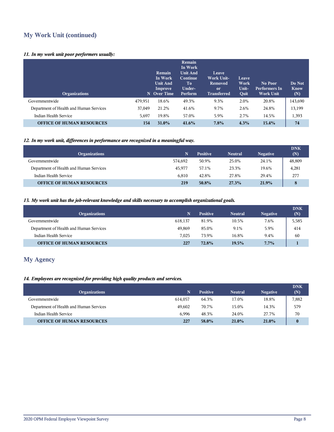## **My Work Unit (continued)**

## *11. In my work unit poor performers usually:*

| <b>Organizations</b>                    |         | Remain<br>In Work<br><b>Unit And</b><br>Improve<br>N Over Time | Remain<br>In Work<br><b>Unit And</b><br>Continue<br>To.<br>Under-<br>Perform | Leave<br><b>Work Unit-</b><br>Removed<br><sub>or</sub><br><b>Transferred</b> | Leave<br>Work<br>Unit-<br>Quit | No Poor<br><b>Performers In</b><br><b>Work Unit</b> | Do Not<br><b>Know</b><br>(N) |
|-----------------------------------------|---------|----------------------------------------------------------------|------------------------------------------------------------------------------|------------------------------------------------------------------------------|--------------------------------|-----------------------------------------------------|------------------------------|
| Governmentwide                          | 479,951 | 18.6%                                                          | 49.3%                                                                        | 9.3%                                                                         | 2.0%                           | 20.8%                                               | 143,690                      |
| Department of Health and Human Services | 37,049  | 21.2%                                                          | 41.6%                                                                        | 9.7%                                                                         | 2.6%                           | 24.8%                                               | 13,199                       |
| Indian Health Service                   | 5,697   | 19.8%                                                          | 57.0%                                                                        | 5.9%                                                                         | 2.7%                           | 14.5%                                               | 1,393                        |
| <b>OFFICE OF HUMAN RESOURCES</b>        | 154     | 31.0%                                                          | 41.6%                                                                        | 7.8%                                                                         | 4.3%                           | 15.4%                                               | 74                           |

## *12. In my work unit, differences in performance are recognized in a meaningful way.*

| <b>Organizations</b>                    | N       | <b>Positive</b> | <b>Neutral</b> | <b>Negative</b> | <b>DNK</b><br>(N) |
|-----------------------------------------|---------|-----------------|----------------|-----------------|-------------------|
| Governmentwide                          | 574.692 | 50.9%           | 25.0%          | 24.1%           | 48,809            |
| Department of Health and Human Services | 45.977  | 57.1%           | 23.3%          | 19.6%           | 4,281             |
| Indian Health Service                   | 6.810   | 42.8%           | 27.8%          | 29.4%           | 277               |
| <b>OFFICE OF HUMAN RESOURCES</b>        | 219     | 50.8%           | 27.3%          | 21.9%           |                   |

## *13. My work unit has the job-relevant knowledge and skills necessary to accomplish organizational goals.*

| <b>Organizations</b>                    |         | <b>Positive</b> | <b>Neutral</b> | <b>Negative</b> | <b>DNK</b><br>(N) |
|-----------------------------------------|---------|-----------------|----------------|-----------------|-------------------|
| Governmentwide                          | 618.137 | 81.9%           | 10.5%          | 7.6%            | 5,585             |
| Department of Health and Human Services | 49.869  | 85.0%           | 9.1%           | 5.9%            | 414               |
| Indian Health Service                   | 7.025   | 73.9%           | 16.8%          | 9.4%            | 60                |
| <b>OFFICE OF HUMAN RESOURCES</b>        | 227     | 72.8%           | 19.5%          | $7.7\%$         |                   |

## **My Agency**

## *14. Employees are recognized for providing high quality products and services.*

| <b>Organizations</b>                    | 'N.     | <b>Positive</b> | <b>Neutral</b> | <b>Negative</b> | <b>DNK</b><br>(N) |
|-----------------------------------------|---------|-----------------|----------------|-----------------|-------------------|
| Governmentwide                          | 614,057 | 64.3%           | 17.0%          | 18.8%           | 7,882             |
| Department of Health and Human Services | 49.602  | 70.7%           | 15.0%          | 14.3%           | 579               |
| Indian Health Service                   | 6.996   | 48.3%           | 24.0%          | 27.7%           | 70                |
| <b>OFFICE OF HUMAN RESOURCES</b>        | 227     | 58.0%           | $21.0\%$       | 21.0%           | $\bf{0}$          |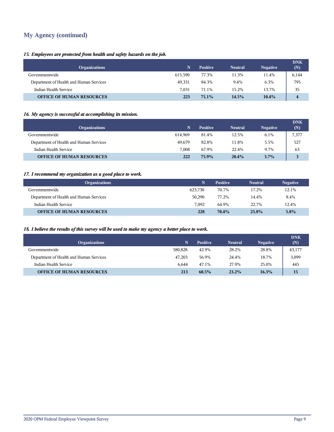## **My Agency (continued)**

## *15. Employees are protected from health and safety hazards on the job.*

| <b>Organizations</b>                    |         | <b>Positive</b> | <b>Neutral</b> | <b>Negative</b> | <b>DNK</b><br>(N) |
|-----------------------------------------|---------|-----------------|----------------|-----------------|-------------------|
| Governmentwide                          | 615.590 | 77.3%           | 11.3%          | 11.4%           | 6,144             |
| Department of Health and Human Services | 49,331  | 84.3%           | 9.4%           | 6.3%            | 795               |
| Indian Health Service                   | 7.031   | 71.1%           | 15.2%          | 13.7%           | 35                |
| <b>OFFICE OF HUMAN RESOURCES</b>        | 223     | $75.1\%$        | 14.5%          | $10.4\%$        | 4                 |

## *16. My agency is successful at accomplishing its mission.*

| <b>Organizations</b>                    | 'N.     | <b>Positive</b> | <b>Neutral</b> | <b>Negative</b> | <b>DNK</b><br>(N) |
|-----------------------------------------|---------|-----------------|----------------|-----------------|-------------------|
| Governmentwide                          | 614.969 | 81.4%           | 12.5%          | 6.1%            | 7,377             |
| Department of Health and Human Services | 49.679  | 82.8%           | 11.8%          | 5.5%            | 527               |
| Indian Health Service                   | 7.008   | 67.9%           | 22.4%          | 9.7%            | 63                |
| <b>OFFICE OF HUMAN RESOURCES</b>        | 222     | 75.9%           | 20.4%          | 3.7%            |                   |

## *17. I recommend my organization as a good place to work.*

| <b>Organizations</b>                    | N       | <b>Positive</b> | <b>Neutral</b> | <b>Negative</b> |
|-----------------------------------------|---------|-----------------|----------------|-----------------|
| Governmentwide                          | 623.730 | 70.7%           | 17.2%          | 12.1%           |
| Department of Health and Human Services | 50.290  | 77.2%           | 14.4%          | 8.4%            |
| Indian Health Service                   | 7.092   | 64.9%           | 22.7%          | 12.4%           |
| <b>OFFICE OF HUMAN RESOURCES</b>        | 228     | 70.4%           | 23.8%          | 5.8%            |

## *18. I believe the results of this survey will be used to make my agency a better place to work.*

| <b>Organizations</b>                    | N       | <b>Positive</b> | <b>Neutral</b> | <b>Negative</b> | <b>DNK</b><br>(N) |
|-----------------------------------------|---------|-----------------|----------------|-----------------|-------------------|
| Governmentwide                          | 580.828 | 42.9%           | 28.2%          | 28.8%           | 43,177            |
| Department of Health and Human Services | 47,203  | 56.9%           | 24.4%          | 18.7%           | 3,099             |
| Indian Health Service                   | 6.644   | 47.1%           | 27.9%          | 25.0%           | 445               |
| <b>OFFICE OF HUMAN RESOURCES</b>        | 213     | 60.5%           | 23.2%          | 16.3%           | 15                |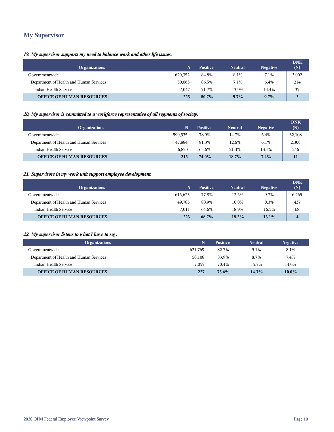## **My Supervisor**

## *19. My supervisor supports my need to balance work and other life issues.*

| <b>Organizations</b>                    |         | <b>Positive</b> | <b>Neutral</b> | <b>Negative</b> | <b>DNK</b><br>(N) |
|-----------------------------------------|---------|-----------------|----------------|-----------------|-------------------|
| Governmentwide                          | 620,352 | 84.8%           | 8.1%           | 7.1%            | 3,002             |
| Department of Health and Human Services | 50,065  | 86.5%           | 7.1%           | 6.4%            | 214               |
| Indian Health Service                   | 7.047   | 71.7%           | 13.9%          | 14.4%           | 37                |
| <b>OFFICE OF HUMAN RESOURCES</b>        | 225     | $80.7\%$        | $9.7\%$        | $9.7\%$         |                   |

## *20. My supervisor is committed to a workforce representative of all segments of society.*

| <b>Organizations</b>                    |         | <b>Positive</b> | <b>Neutral</b> | <b>Negative</b> | <b>DNK</b><br>(N) |
|-----------------------------------------|---------|-----------------|----------------|-----------------|-------------------|
| Governmentwide                          | 590.535 | 78.9%           | 14.7%          | 6.4%            | 32,108            |
| Department of Health and Human Services | 47.884  | 81.3%           | 12.6%          | $6.1\%$         | 2,300             |
| Indian Health Service                   | 6.820   | 65.6%           | 21.3%          | 13.1%           | 246               |
| <b>OFFICE OF HUMAN RESOURCES</b>        | 215     | 74.0%           | $18.7\%$       | 7.4%            | 11                |

## *21. Supervisors in my work unit support employee development.*

| <b>Organizations</b>                    | 'N.     | <b>Positive</b> | <b>Neutral</b> | <b>Negative</b> | <b>DNK</b><br>(N) |
|-----------------------------------------|---------|-----------------|----------------|-----------------|-------------------|
| Governmentwide                          | 616,623 | 77.8%           | 12.5%          | 9.7%            | 6,265             |
| Department of Health and Human Services | 49.785  | 80.9%           | 10.8%          | 8.3%            | 437               |
| Indian Health Service                   | 7.011   | 64.6%           | 18.9%          | 16.5%           | 68                |
| <b>OFFICE OF HUMAN RESOURCES</b>        | 223     | $68.7\%$        | 18.2%          | $13.1\%$        | $\overline{4}$    |

## *22. My supervisor listens to what I have to say.*

| <b>Organizations</b>                    |         | <b>Positive</b> | <b>Neutral</b> | <b>Negative</b> |
|-----------------------------------------|---------|-----------------|----------------|-----------------|
| Governmentwide                          | 621.769 | 82.7%           | 9.1%           | 8.1%            |
| Department of Health and Human Services | 50,108  | 83.9%           | 8.7%           | 7.4%            |
| Indian Health Service                   | 7.057   | 70.4%           | 15.7%          | 14.0%           |
| <b>OFFICE OF HUMAN RESOURCES</b>        | 227     | 75.6%           | 14.3%          | $10.0\%$        |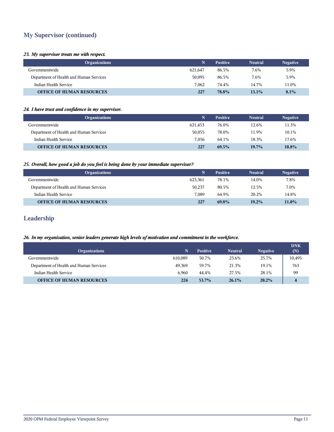## **My Supervisor (continued)**

#### *23. My supervisor treats me with respect.*

| <b>Organizations</b>                    |         | <b>Positive</b> | <b>Neutral</b> | <b>Negative</b> |
|-----------------------------------------|---------|-----------------|----------------|-----------------|
| Governmentwide                          | 621,647 | 86.5%           | 7.6%           | 5.9%            |
| Department of Health and Human Services | 50,095  | 86.5%           | 7.6%           | 5.9%            |
| Indian Health Service                   | 7.062   | 74.4%           | 14.7%          | 11.0%           |
| <b>OFFICE OF HUMAN RESOURCES</b>        | 227     | 78.8%           | 13.1%          | 8.1%            |

#### *24. I have trust and confidence in my supervisor.*

| <b>Organizations</b>                    | N       | <b>Positive</b> | <b>Neutral</b> | <b>Negative</b> |
|-----------------------------------------|---------|-----------------|----------------|-----------------|
| Governmentwide                          | 621.453 | 76.0%           | 12.6%          | 11.3%           |
| Department of Health and Human Services | 50.055  | 78.0%           | 11.9%          | 10.1%           |
| Indian Health Service                   | 7.056   | 64.1%           | 18.3%          | 17.6%           |
| <b>OFFICE OF HUMAN RESOURCES</b>        | 227     | 69.5%           | $19.7\%$       | 10.8%           |

## *25. Overall, how good a job do you feel is being done by your immediate supervisor?*

| <b>Organizations</b>                    |         | <b>Positive</b> | <b>Neutral</b> | <b>Negative</b> |
|-----------------------------------------|---------|-----------------|----------------|-----------------|
| Governmentwide                          | 623.361 | 78.1%           | 14.0%          | 7.8%            |
| Department of Health and Human Services | 50,237  | 80.5%           | 12.5%          | 7.0%            |
| Indian Health Service                   | 7.089   | 64.9%           | 20.2%          | 14.8%           |
| <b>OFFICE OF HUMAN RESOURCES</b>        | 227     | 69.8%           | 19.2%          | 11.0%           |

## **Leadership**

## *26. In my organization, senior leaders generate high levels of motivation and commitment in the workforce.*

| <b>Organizations</b>                    |         | <b>Positive</b> | <b>Neutral</b> | <b>Negative</b> | <b>DNK</b><br>(N) |
|-----------------------------------------|---------|-----------------|----------------|-----------------|-------------------|
| Governmentwide                          | 610.089 | 50.7%           | 23.6%          | 25.7%           | 10,495            |
| Department of Health and Human Services | 49.369  | 59.7%           | 21.3%          | 19.1%           | 763               |
| Indian Health Service                   | 6.960   | 44.4%           | 27.5%          | 28.1%           | 99                |
| <b>OFFICE OF HUMAN RESOURCES</b>        | 224     | 53.7%           | 26.1%          | $20.2\%$        |                   |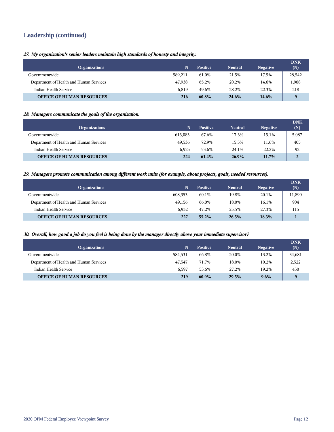## **Leadership (continued)**

*27. My organization's senior leaders maintain high standards of honesty and integrity.*

| <b>Organizations</b>                    | N       | <b>Positive</b> | <b>Neutral</b> | <b>Negative</b> | <b>DNK</b><br>(N) |
|-----------------------------------------|---------|-----------------|----------------|-----------------|-------------------|
| Governmentwide                          | 589.211 | 61.0%           | 21.5%          | 17.5%           | 28,542            |
| Department of Health and Human Services | 47.938  | 65.2%           | 20.2%          | 14.6%           | 1,988             |
| Indian Health Service                   | 6.819   | 49.6%           | 28.2%          | 22.3%           | 218               |
| <b>OFFICE OF HUMAN RESOURCES</b>        | 216     | 60.8%           | 24.6%          | $14.6\%$        | $\bf{Q}$          |

## *28. Managers communicate the goals of the organization.*

| <b>Organizations</b>                    |         | <b>Positive</b> | <b>Neutral</b> | <b>Negative</b> | <b>DNK</b><br>(N) |
|-----------------------------------------|---------|-----------------|----------------|-----------------|-------------------|
| Governmentwide                          | 613,083 | 67.6%           | 17.3%          | 15.1%           | 5,087             |
| Department of Health and Human Services | 49.536  | 72.9%           | 15.5%          | 11.6%           | 405               |
| Indian Health Service                   | 6.925   | 53.6%           | 24.1%          | 22.2%           | 92                |
| <b>OFFICE OF HUMAN RESOURCES</b>        | 224     | 61.4%           | 26.9%          | $11.7\%$        | $\overline{2}$    |

#### *29. Managers promote communication among different work units (for example, about projects, goals, needed resources).*

| <b>Organizations</b>                    |         | <b>Positive</b> | <b>Neutral</b> | <b>Negative</b> | <b>DNK</b><br>(N) |
|-----------------------------------------|---------|-----------------|----------------|-----------------|-------------------|
| Governmentwide                          | 608.353 | 60.1%           | 19.8%          | 20.1%           | 11,890            |
| Department of Health and Human Services | 49.156  | 66.0%           | 18.0%          | 16.1%           | 904               |
| Indian Health Service                   | 6.932   | 47.2%           | 25.5%          | 27.3%           | 115               |
| <b>OFFICE OF HUMAN RESOURCES</b>        | 227     | $55.2\%$        | 26.5%          | 18.3%           |                   |

#### *30. Overall, how good a job do you feel is being done by the manager directly above your immediate supervisor?*

| <b>Organizations</b>                    | N       | <b>Positive</b> | <b>Neutral</b> | <b>Negative</b> | <b>DNK</b><br>(N) |
|-----------------------------------------|---------|-----------------|----------------|-----------------|-------------------|
| Governmentwide                          | 584.531 | 66.8%           | 20.0%          | 13.2%           | 34,681            |
| Department of Health and Human Services | 47.547  | 71.7%           | 18.0%          | 10.2%           | 2,522             |
| Indian Health Service                   | 6.597   | 53.6%           | 27.2%          | 19.2%           | 450               |
| <b>OFFICE OF HUMAN RESOURCES</b>        | 219     | $60.9\%$        | 29.5%          | $9.6\%$         | $\bf{Q}$          |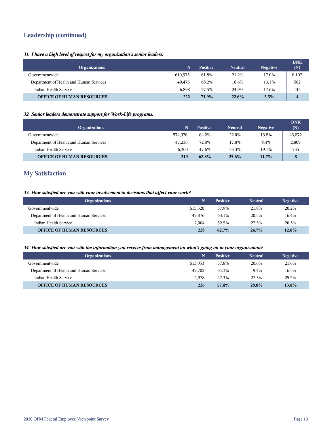## **Leadership (continued)**

## *31. I have a high level of respect for my organization's senior leaders.*

| <b>Organizations</b>                    |         | <b>Positive</b> | <b>Neutral</b> | <b>Negative</b> | <b>DNK</b><br>(N)       |
|-----------------------------------------|---------|-----------------|----------------|-----------------|-------------------------|
| Governmentwide                          | 610.973 | 61.8%           | 21.2%          | 17.0%           | 8,107                   |
| Department of Health and Human Services | 49.475  | 68.2%           | 18.6%          | 13.1%           | 582                     |
| Indian Health Service                   | 6.898   | 57.5%           | 24.9%          | 17.6%           | 145                     |
| <b>OFFICE OF HUMAN RESOURCES</b>        | 222     | 71.9%           | 22.6%          | 5.5%            | $\overline{\mathbf{4}}$ |

## *32. Senior leaders demonstrate support for Work-Life programs.*

| <b>Organizations</b>                    | N       | <b>Positive</b> | <b>Neutral</b> | <b>Negative</b> | <b>DNK</b><br>(N) |
|-----------------------------------------|---------|-----------------|----------------|-----------------|-------------------|
| Governmentwide                          | 574.976 | 64.2%           | 22.0%          | 13.8%           | 43,872            |
| Department of Health and Human Services | 47.236  | 72.8%           | 17.8%          | 9.4%            | 2,809             |
| Indian Health Service                   | 6.300   | 47.6%           | 33.3%          | 19.1%           | 735               |
| <b>OFFICE OF HUMAN RESOURCES</b>        | 219     | 62.8%           | $25.6\%$       | $11.7\%$        | 8                 |

## **My Satisfaction**

## *33. How satisfied are you with your involvement in decisions that affect your work?*

| <b>Organizations</b>                    |         | <b>Positive</b> | <b>Neutral</b> | <b>Negative</b> |
|-----------------------------------------|---------|-----------------|----------------|-----------------|
| Governmentwide                          | 615.320 | 57.9%           | 21.8%          | 20.2%           |
| Department of Health and Human Services | 49.876  | 63.1%           | 20.5%          | 16.4%           |
| Indian Health Service                   | 7.004   | 52.5%           | 27.3%          | 20.3%           |
| <b>OFFICE OF HUMAN RESOURCES</b>        | 228     | $62.7\%$        | $24.7\%$       | 12.6%           |

#### *34. How satisfied are you with the information you receive from management on what's going on in your organization?*

| <b>Organizations</b>                    | N       | <b>Positive</b> | <b>Neutral</b> | <b>Negative</b> |
|-----------------------------------------|---------|-----------------|----------------|-----------------|
| Governmentwide                          | 613.053 | 57.8%           | 20.6%          | 21.6%           |
| Department of Health and Human Services | 49.702  | 64.3%           | 19.4%          | 16.3%           |
| Indian Health Service                   | 6.978   | 47.3%           | 27.3%          | 25.5%           |
| <b>OFFICE OF HUMAN RESOURCES</b>        | 226     | 57.4%           | 28.8%          | 13.8%           |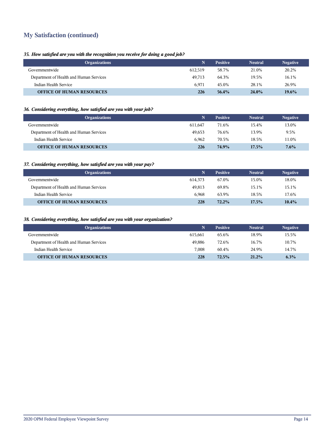## **My Satisfaction (continued)**

## *35. How satisfied are you with the recognition you receive for doing a good job?*

| <b>Organizations</b>                    | N       | <b>Positive</b> | <b>Neutral</b> | <b>Negative</b> |
|-----------------------------------------|---------|-----------------|----------------|-----------------|
| Governmentwide                          | 612.519 | 58.7%           | 21.0%          | 20.2%           |
| Department of Health and Human Services | 49.713  | 64.3%           | 19.5%          | 16.1%           |
| Indian Health Service                   | 6.971   | 45.0%           | 28.1%          | 26.9%           |
| <b>OFFICE OF HUMAN RESOURCES</b>        | 226     | 56.4%           | $24.0\%$       | $19.6\%$        |

## *36. Considering everything, how satisfied are you with your job?*

| <b>Organizations</b>                    | N       | <b>Positive</b> | <b>Neutral</b> | <b>Negative</b> |
|-----------------------------------------|---------|-----------------|----------------|-----------------|
| Governmentwide                          | 611.647 | 71.6%           | 15.4%          | 13.0%           |
| Department of Health and Human Services | 49.653  | 76.6%           | 13.9%          | 9.5%            |
| Indian Health Service                   | 6.962   | 70.5%           | 18.5%          | 11.0%           |
| <b>OFFICE OF HUMAN RESOURCES</b>        | 226     | 74.9%           | 17.5%          | 7.6%            |

## *37. Considering everything, how satisfied are you with your pay?*

| <b>Organizations</b>                    | Ñ       | <b>Positive</b> | <b>Neutral</b> | <b>Negative</b> |
|-----------------------------------------|---------|-----------------|----------------|-----------------|
| Governmentwide                          | 614.373 | 67.0%           | 15.0%          | 18.0%           |
| Department of Health and Human Services | 49.813  | 69.8%           | 15.1%          | 15.1%           |
| Indian Health Service                   | 6.968   | 63.9%           | 18.5%          | 17.6%           |
| <b>OFFICE OF HUMAN RESOURCES</b>        | 228     | $72.2\%$        | $17.5\%$       | 10.4%           |

## *38. Considering everything, how satisfied are you with your organization?*

| <b>Organizations</b>                    |         | <b>Positive</b> | <b>Neutral</b> | <b>Negative</b> |
|-----------------------------------------|---------|-----------------|----------------|-----------------|
| Governmentwide                          | 615.661 | 65.6%           | 18.9%          | 15.5%           |
| Department of Health and Human Services | 49.886  | 72.6%           | 16.7%          | 10.7%           |
| Indian Health Service                   | 7.008   | 60.4%           | 24.9%          | 14.7%           |
| <b>OFFICE OF HUMAN RESOURCES</b>        | 228     | 72.5%           | $21.2\%$       | 6.3%            |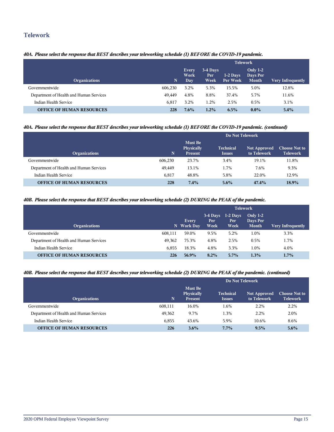## **Telework**

## *40A. Please select the response that BEST describes your teleworking schedule (1) BEFORE the COVID-19 pandemic.*

|                                         |         | <b>Telework</b>              |                         |                        |                                        |                          |  |  |
|-----------------------------------------|---------|------------------------------|-------------------------|------------------------|----------------------------------------|--------------------------|--|--|
| <b>Organizations</b>                    | N       | <b>Every</b><br>Work<br>Day. | 3-4 Days<br>Per<br>Week | $1-2$ Days<br>Per Week | Only $1-2$<br>Days Per<br><b>Month</b> | <b>Very Infrequently</b> |  |  |
| Governmentwide                          | 606.230 | 3.2%                         | 5.3%                    | 15.5%                  | 5.0%                                   | 12.8%                    |  |  |
| Department of Health and Human Services | 49.449  | 4.8%                         | 8.8%                    | 37.4%                  | 5.7%                                   | 11.6%                    |  |  |
| Indian Health Service                   | 6.817   | 3.2%                         | 1.2%                    | 2.5%                   | 0.5%                                   | 3.1%                     |  |  |
| <b>OFFICE OF HUMAN RESOURCES</b>        | 228     | $7.6\%$                      | 1.2%                    | 6.5%                   | $0.0\%$                                | 5.4%                     |  |  |

## *40A. Please select the response that BEST describes your teleworking schedule (1) BEFORE the COVID-19 pandemic. (continued)*

|                                         |         | Do Not Telework                                |                                   |                                    |                                         |  |
|-----------------------------------------|---------|------------------------------------------------|-----------------------------------|------------------------------------|-----------------------------------------|--|
| <b>Organizations</b>                    | N       | <b>Must Be</b><br>Physically<br><b>Present</b> | <b>Technical</b><br><b>Issues</b> | <b>Not Approved</b><br>to Telework | <b>Choose Not to</b><br><b>Telework</b> |  |
| Governmentwide                          | 606.230 | 23.7%                                          | 3.4%                              | 19.1%                              | 11.8%                                   |  |
| Department of Health and Human Services | 49,449  | 13.1%                                          | 1.7%                              | 7.6%                               | 9.3%                                    |  |
| Indian Health Service                   | 6,817   | 48.8%                                          | 5.8%                              | 22.0%                              | 12.9%                                   |  |
| <b>OFFICE OF HUMAN RESOURCES</b>        | 228     | 7.4%                                           | $5.6\%$                           | 47.4%                              | 18.9%                                   |  |

#### *40B. Please select the response that BEST describes your teleworking schedule (2) DURING the PEAK of the pandemic.*

|                                         |         | <b>Telework</b>            |                           |                            |                                        |                          |  |
|-----------------------------------------|---------|----------------------------|---------------------------|----------------------------|----------------------------------------|--------------------------|--|
| <b>Organizations</b>                    |         | <b>Every</b><br>N Work Day | $3-4$ Days<br>Per<br>Week | $1-2$ Days<br>Per.<br>Week | Only $1-2$<br>Days Per<br><b>Month</b> | <b>Very Infrequently</b> |  |
| Governmentwide                          | 608,111 | 59.0%                      | 9.5%                      | 5.2%                       | 1.0%                                   | 3.3%                     |  |
| Department of Health and Human Services | 49.362  | 75.3%                      | 4.8%                      | 2.5%                       | 0.5%                                   | 1.7%                     |  |
| Indian Health Service                   | 6.855   | 18.3%                      | 4.8%                      | 3.3%                       | 1.0%                                   | 4.0%                     |  |
| <b>OFFICE OF HUMAN RESOURCES</b>        | 226     | 56.9%                      | $8.2\%$                   | $5.7\%$                    | 1.3%                                   | 1.7%                     |  |

## *40B. Please select the response that BEST describes your teleworking schedule (2) DURING the PEAK of the pandemic. (continued)*

|                                         |         | Do Not Telework                                |                                   |                                    |                                         |  |  |
|-----------------------------------------|---------|------------------------------------------------|-----------------------------------|------------------------------------|-----------------------------------------|--|--|
| <b>Organizations</b>                    | N.      | <b>Must Be</b><br>Physically<br><b>Present</b> | <b>Technical</b><br><b>Issues</b> | <b>Not Approved</b><br>to Telework | <b>Choose Not to</b><br><b>Telework</b> |  |  |
| Governmentwide                          | 608,111 | 16.0%                                          | 1.6%                              | 2.2%                               | 2.2%                                    |  |  |
| Department of Health and Human Services | 49,362  | 9.7%                                           | 1.3%                              | 2.2%                               | 2.0%                                    |  |  |
| Indian Health Service                   | 6.855   | 43.6%                                          | 5.9%                              | 10.6%                              | 8.6%                                    |  |  |
| <b>OFFICE OF HUMAN RESOURCES</b>        | 226     | $3.6\%$                                        | $7.7\%$                           | 9.5%                               | 5.6%                                    |  |  |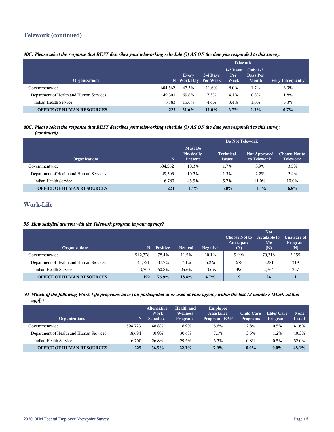## **Telework (continued)**

## *40C. Please select the response that BEST describes your teleworking schedule (3) AS OF the date you responded to this survey.*

|                                         |         | <b>Telework</b>              |          |                           |                                        |                          |  |
|-----------------------------------------|---------|------------------------------|----------|---------------------------|----------------------------------------|--------------------------|--|
| <b>Organizations</b>                    |         | Every<br>N Work Day Per Week | 3-4 Days | $1-2$ Days<br>Per<br>Week | Only $1-2$<br>Days Per<br><b>Month</b> | <b>Very Infrequently</b> |  |
| Governmentwide                          | 604.562 | 47.3%                        | 11.6%    | 8.0%                      | 1.7%                                   | 3.9%                     |  |
| Department of Health and Human Services | 49.303  | 69.8%                        | 7.3%     | 4.1%                      | $0.8\%$                                | 1.8%                     |  |
| Indian Health Service                   | 6.783   | 15.6%                        | 4.4%     | 3.4%                      | 1.0%                                   | 3.3%                     |  |
| <b>OFFICE OF HUMAN RESOURCES</b>        | 223     | 51.6%                        | $11.0\%$ | $6.7\%$                   | 1.3%                                   | $0.7\%$                  |  |

#### *40C. Please select the response that BEST describes your teleworking schedule (3) AS OF the date you responded to this survey. (continued)*

|                                         |         | Do Not Telework                                |                                   |                                    |                                         |  |  |
|-----------------------------------------|---------|------------------------------------------------|-----------------------------------|------------------------------------|-----------------------------------------|--|--|
| <b>Organizations</b>                    | N       | <b>Must Be</b><br>Physically<br><b>Present</b> | <b>Technical</b><br><b>Issues</b> | <b>Not Approved</b><br>to Telework | <b>Choose Not to</b><br><b>Telework</b> |  |  |
| Governmentwide                          | 604,562 | 18.3%                                          | 1.7%                              | 3.9%                               | 3.5%                                    |  |  |
| Department of Health and Human Services | 49,303  | 10.3%                                          | 1.3%                              | 2.2%                               | 2.4%                                    |  |  |
| Indian Health Service                   | 6.783   | 45.5%                                          | 5.7%                              | 11.0%                              | 10.0%                                   |  |  |
| <b>OFFICE OF HUMAN RESOURCES</b>        | 223     | 4.4%                                           | $6.0\%$                           | 11.5%                              | 6.8%                                    |  |  |

## **Work-Life**

## *58. How satisfied are you with the Telework program in your agency?*

| <b>Organizations</b>                    | N       | <b>Positive</b> | <b>Neutral</b> | <b>Negative</b> | <b>Choose Not to</b><br>Participate<br>(N) | <b>Not</b><br><b>Available to</b><br>Me<br>(N) | Unaware of<br>Program<br>(N) |
|-----------------------------------------|---------|-----------------|----------------|-----------------|--------------------------------------------|------------------------------------------------|------------------------------|
| Governmentwide                          | 512.728 | 78.4%           | 11.5%          | 10.1%           | 9,996                                      | 70,318                                         | 5,155                        |
| Department of Health and Human Services | 44,721  | 87.7%           | 7.1%           | 5.2%            | 678                                        | 3,281                                          | 319                          |
| Indian Health Service                   | 3.309   | 60.8%           | 25.6%          | 13.6%           | 396                                        | 2.764                                          | 267                          |
| <b>OFFICE OF HUMAN RESOURCES</b>        | 192     | 76.9%           | 18.4%          | 4.7%            | $\mathbf Q$                                | 24                                             |                              |

#### *59. Which of the following Work-Life programs have you participated in or used at your agency within the last 12 months? (Mark all that apply)*

| <b>Organizations</b>                    | N       | <b>Alternative</b><br>Work<br><b>Schedules</b> | <b>Health and</b><br><b>Wellness</b><br><b>Programs</b> | Employee<br>Assistance<br>Program - EAP | <b>Child Care</b><br><b>Programs</b> | Elder Care<br><b>Programs</b> | <b>None</b><br><b>Listed</b> |
|-----------------------------------------|---------|------------------------------------------------|---------------------------------------------------------|-----------------------------------------|--------------------------------------|-------------------------------|------------------------------|
| Governmentwide                          | 594.723 | 48.8%                                          | 18.9%                                                   | 5.6%                                    | 2.8%                                 | 0.5%                          | 41.6%                        |
| Department of Health and Human Services | 48.694  | 40.9%                                          | 30.4%                                                   | 7.1%                                    | 3.5%                                 | 1.2%                          | 40.3%                        |
| Indian Health Service                   | 6.700   | 26.8%                                          | 29.5%                                                   | 5.3%                                    | 0.8%                                 | 0.5%                          | 52.0%                        |
| <b>OFFICE OF HUMAN RESOURCES</b>        | 225     | 36.5%                                          | 22.1%                                                   | $7.9\%$                                 | $0.0\%$                              | $0.0\%$                       | 48.1%                        |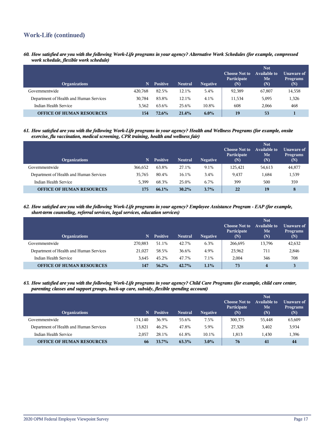## **Work-Life (continued)**

*60. How satisfied are you with the following Work-Life programs in your agency? Alternative Work Schedules (for example, compressed work schedule, flexible work schedule)*

| <b>Organizations</b>                    | N       | <b>Positive</b> | <b>Neutral</b> | <b>Negative</b> | <b>Choose Not to</b><br>Participate<br>(N) | <b>Not</b><br>Available to<br>Me<br>(N) | Unaware of<br><b>Programs</b><br>(N) |
|-----------------------------------------|---------|-----------------|----------------|-----------------|--------------------------------------------|-----------------------------------------|--------------------------------------|
| Governmentwide                          | 420.768 | 82.5%           | 12.1%          | 5.4%            | 92,389                                     | 67,807                                  | 14,558                               |
| Department of Health and Human Services | 30.784  | 83.8%           | 12.1%          | 4.1%            | 11,534                                     | 5,095                                   | 1,326                                |
| Indian Health Service                   | 3.562   | 63.6%           | 25.6%          | 10.8%           | 608                                        | 2,066                                   | 468                                  |
| <b>OFFICE OF HUMAN RESOURCES</b>        | 154     | 72.6%           | 21.4%          | $6.0\%$         | 19                                         | 53                                      |                                      |

*61. How satisfied are you with the following Work-Life programs in your agency? Health and Wellness Programs (for example, onsite exercise, flu vaccination, medical screening, CPR training, health and wellness fair)*

| <b>Organizations</b>                    | N       | <b>Positive</b> | <b>Neutral</b> | <b>Negative</b> | <b>Choose Not to</b><br>Participate<br>(N) | <b>Not</b><br><b>Available to</b><br>Me<br>(N) | Unaware of<br><b>Programs</b><br>(N) |
|-----------------------------------------|---------|-----------------|----------------|-----------------|--------------------------------------------|------------------------------------------------|--------------------------------------|
| Governmentwide                          | 366.652 | 63.8%           | 27.1%          | 9.1%            | 125,421                                    | 54,613                                         | 44,877                               |
| Department of Health and Human Services | 35.765  | 80.4%           | 16.1%          | 3.4%            | 9,437                                      | 1,684                                          | 1,539                                |
| Indian Health Service                   | 5.399   | 68.3%           | 25.0%          | 6.7%            | 399                                        | 500                                            | 359                                  |
| <b>OFFICE OF HUMAN RESOURCES</b>        | 175     | 66.1%           | $30.2\%$       | $3.7\%$         | 22                                         | 19                                             | 8                                    |

*62. How satisfied are you with the following Work-Life programs in your agency? Employee Assistance Program - EAP (for example, short-term counseling, referral services, legal services, education services)*

| <b>Organizations</b>                    | N       | <b>Positive</b> | <b>Neutral</b> | <b>Negative</b> | <b>Choose Not to</b><br>Participate<br>(N) | <b>Not</b><br><b>Available to</b><br>Me<br>(N) | Unaware of<br><b>Programs</b><br>(N) |
|-----------------------------------------|---------|-----------------|----------------|-----------------|--------------------------------------------|------------------------------------------------|--------------------------------------|
| Governmentwide                          | 270,883 | 51.1%           | 42.7%          | 6.3%            | 266,695                                    | 13,796                                         | 42,632                               |
| Department of Health and Human Services | 21,027  | 58.5%           | 36.6%          | 4.9%            | 23,962                                     | 711                                            | 2,846                                |
| Indian Health Service                   | 3.645   | 45.2%           | 47.7%          | 7.1%            | 2.004                                      | 346                                            | 708                                  |
| <b>OFFICE OF HUMAN RESOURCES</b>        | 147     | $56.2\%$        | 42.7%          | 1.1%            | 73                                         | $\overline{\mathbf{4}}$                        |                                      |

*63. How satisfied are you with the following Work-Life programs in your agency? Child Care Programs (for example, child care center, parenting classes and support groups, back-up care, subsidy, flexible spending account)*

| <b>Organizations</b>                    | N       | <b>Positive</b> | <b>Neutral</b> | <b>Negative</b> | <b>Choose Not to</b><br>Participate<br>(N) | <b>Not</b><br>Available to<br>Me<br>(N) | Unaware of<br><b>Programs</b><br>(N) |
|-----------------------------------------|---------|-----------------|----------------|-----------------|--------------------------------------------|-----------------------------------------|--------------------------------------|
| Governmentwide                          | 174.140 | 36.9%           | 55.6%          | 7.5%            | 300,375                                    | 55,448                                  | 63,609                               |
| Department of Health and Human Services | 13.821  | 46.2%           | 47.8%          | 5.9%            | 27,328                                     | 3,402                                   | 3,934                                |
| Indian Health Service                   | 2.057   | 28.1%           | 61.8%          | 10.1%           | 1.813                                      | 1,430                                   | 1,396                                |
| <b>OFFICE OF HUMAN RESOURCES</b>        | 66      | 33.7%           | 63.3%          | $3.0\%$         | 76                                         | 41                                      | 44                                   |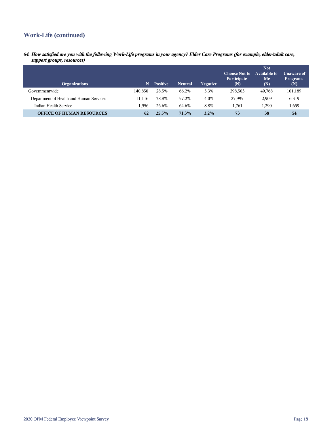## **Work-Life (continued)**

*64. How satisfied are you with the following Work-Life programs in your agency? Elder Care Programs (for example, elder/adult care, support groups, resources)*

| <b>Organizations</b>                    | N       | <b>Positive</b> | <b>Neutral</b> | <b>Negative</b> | <b>Choose Not to</b><br>Participate<br>(N) | <b>Not</b><br>Available to<br>Me<br>(N) | Unaware of<br><b>Programs</b><br>(N) |
|-----------------------------------------|---------|-----------------|----------------|-----------------|--------------------------------------------|-----------------------------------------|--------------------------------------|
| Governmentwide                          | 140.850 | 28.5%           | 66.2%          | 5.3%            | 298,503                                    | 49,768                                  | 101,189                              |
| Department of Health and Human Services | 11.116  | 38.8%           | 57.2%          | 4.0%            | 27,995                                     | 2,909                                   | 6,319                                |
| Indian Health Service                   | 1.956   | 26.6%           | 64.6%          | 8.8%            | 1.761                                      | 1.290                                   | 1,659                                |
| <b>OFFICE OF HUMAN RESOURCES</b>        | 62      | 25.5%           | 71.3%          | $3.2\%$         | 73                                         | 38                                      | 54                                   |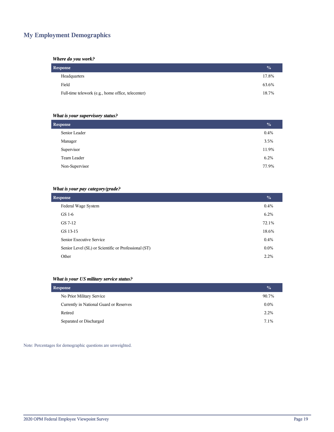## **My Employment Demographics**

### *Where do you work?*

| <b>Response</b>                                    |       |  |  |  |  |  |
|----------------------------------------------------|-------|--|--|--|--|--|
| Headquarters                                       | 17.8% |  |  |  |  |  |
| Field                                              | 63.6% |  |  |  |  |  |
| Full-time telework (e.g., home office, telecenter) | 18.7% |  |  |  |  |  |

## *What is your supervisory status?*

| <b>Response</b> | $\frac{6}{6}$<br>0.4% |
|-----------------|-----------------------|
|                 |                       |
| Senior Leader   |                       |
| Manager         | 3.5%                  |
| Supervisor      | 11.9%                 |
| Team Leader     | 6.2%                  |
| Non-Supervisor  | 77.9%                 |

## *What is your pay category/grade?*

| <b>Response</b>                                      | $\frac{0}{0}$ |
|------------------------------------------------------|---------------|
| Federal Wage System                                  | 0.4%          |
| GS 1-6                                               | 6.2%          |
| GS 7-12                                              | 72.1%         |
| GS 13-15                                             | 18.6%         |
| Senior Executive Service                             | 0.4%          |
| Senior Level (SL) or Scientific or Professional (ST) | $0.0\%$       |
| Other                                                | 2.2%          |

## *What is your US military service status?*

| <b>Response</b>                         |         |  |  |  |  |
|-----------------------------------------|---------|--|--|--|--|
| No Prior Military Service               | 90.7%   |  |  |  |  |
| Currently in National Guard or Reserves | $0.0\%$ |  |  |  |  |
| Retired                                 | 2.2%    |  |  |  |  |
| Separated or Discharged                 | 7.1%    |  |  |  |  |

Note: Percentages for demographic questions are unweighted.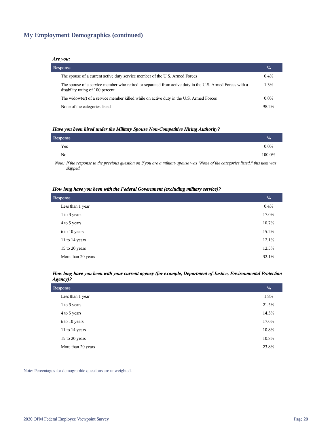## **My Employment Demographics (continued)**

#### *Are you:*

| <b>Response</b>                                                                                                                              | $\frac{0}{0}$ |
|----------------------------------------------------------------------------------------------------------------------------------------------|---------------|
| The spouse of a current active duty service member of the U.S. Armed Forces                                                                  | $0.4\%$       |
| The spouse of a service member who retired or separated from active duty in the U.S. Armed Forces with a<br>disability rating of 100 percent | 1.3%          |
| The widow(er) of a service member killed while on active duty in the U.S. Armed Forces                                                       | $0.0\%$       |
| None of the categories listed                                                                                                                | 98.2%         |

#### *Have you been hired under the Military Spouse Non-Competitive Hiring Authority?*

| Response |                                                                                                                 |  |   |          |   | $\frac{0}{0}$ |
|----------|-----------------------------------------------------------------------------------------------------------------|--|---|----------|---|---------------|
| Yes      |                                                                                                                 |  |   |          |   | $0.0\%$       |
| No       |                                                                                                                 |  |   |          |   | 100.0%        |
|          | the contract of the contract of the contract of the contract of the contract of the contract of the contract of |  | . | $\cdots$ | . |               |

*Note: If the response to the previous question on if you are a military spouse was "None of the categories listed," this item was skipped.*

#### *How long have you been with the Federal Government (excluding military service)?*

| <b>Response</b>    |       |  |  |  |  |
|--------------------|-------|--|--|--|--|
| Less than 1 year   | 0.4%  |  |  |  |  |
| 1 to 3 years       | 17.0% |  |  |  |  |
| 4 to 5 years       | 10.7% |  |  |  |  |
| 6 to 10 years      | 15.2% |  |  |  |  |
| 11 to 14 years     | 12.1% |  |  |  |  |
| 15 to 20 years     | 12.5% |  |  |  |  |
| More than 20 years | 32.1% |  |  |  |  |

#### *How long have you been with your current agency (for example, Department of Justice, Environmental Protection Agency)?*

| <b>Response</b>    | $\frac{0}{0}$ |
|--------------------|---------------|
| Less than 1 year   | 1.8%          |
| 1 to 3 years       | 21.5%         |
| 4 to 5 years       | 14.3%         |
| 6 to 10 years      | 17.0%         |
| 11 to 14 years     | 10.8%         |
| 15 to 20 years     | 10.8%         |
| More than 20 years | 23.8%         |

Note: Percentages for demographic questions are unweighted.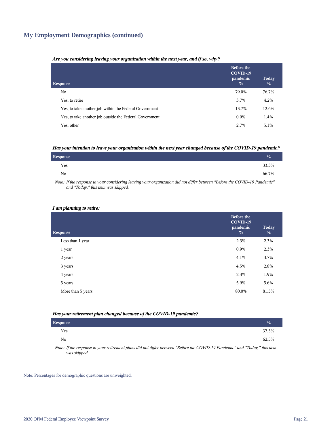## **My Employment Demographics (continued)**

#### *Are you considering leaving your organization within the next year, and if so, why?*

| <b>Response</b>                                         | <b>Before the</b><br>COVID-19<br>pandemic<br>$\frac{0}{0}$ | Today<br>$\frac{0}{0}$ |
|---------------------------------------------------------|------------------------------------------------------------|------------------------|
| No.                                                     | 79.0%                                                      | 76.7%                  |
| Yes, to retire                                          | 3.7%                                                       | 4.2%                   |
| Yes, to take another job within the Federal Government  | 13.7%                                                      | 12.6%                  |
| Yes, to take another job outside the Federal Government | 0.9%                                                       | 1.4%                   |
| Yes, other                                              | 2.7%                                                       | 5.1%                   |

#### *Has your intention to leave your organization within the next year changed because of the COVID-19 pandemic?*

| <b>Response</b> | $\frac{0}{0}$ |
|-----------------|---------------|
| Yes             | 33.3%         |
| No.             | 66.7%         |

*Note: If the response to your considering leaving your organization did not differ between "Before the COVID-19 Pandemic" and "Today," this item was skipped.*

#### *I am planning to retire:*

| <b>Response</b>   | <b>Before the</b><br>COVID-19<br>pandemic<br>$\frac{0}{0}$ | Today<br>$\frac{0}{0}$ |
|-------------------|------------------------------------------------------------|------------------------|
| Less than 1 year  | 2.3%                                                       | 2.3%                   |
| 1 year            | 0.9%                                                       | 2.3%                   |
| 2 years           | 4.1%                                                       | 3.7%                   |
| 3 years           | 4.5%                                                       | 2.8%                   |
| 4 years           | 2.3%                                                       | 1.9%                   |
| 5 years           | 5.9%                                                       | 5.6%                   |
| More than 5 years | 80.0%                                                      | 81.5%                  |
|                   |                                                            |                        |

#### *Has your retirement plan changed because of the COVID-19 pandemic?*

| <b>Response</b> |  |  |  |  |                                                                                                                                                           |  | $\mathcal{O}_0$ |
|-----------------|--|--|--|--|-----------------------------------------------------------------------------------------------------------------------------------------------------------|--|-----------------|
| Yes             |  |  |  |  |                                                                                                                                                           |  | 37.5%           |
| No              |  |  |  |  |                                                                                                                                                           |  | 62.5%           |
| $\mathbf{v}$    |  |  |  |  | $\mathcal{L}$ , and $\mathcal{L}$ , and $\mathcal{L}$ , and $\mathcal{L}$ , and $\mathcal{L}$ , and $\mathcal{L}$ , and $\mathcal{L}$ , and $\mathcal{L}$ |  |                 |

*Note: If the response to your retirement plans did not differ between "Before the COVID-19 Pandemic" and "Today," this item was skipped.*

Note: Percentages for demographic questions are unweighted.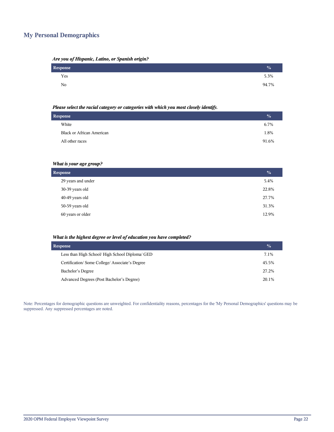## **My Personal Demographics**

| Are you of Hispanic, Latino, or Spanish origin? |  |  |  |
|-------------------------------------------------|--|--|--|
|                                                 |  |  |  |

| Response | $\frac{0}{2}$ |
|----------|---------------|
| Yes      | 5.3%          |
| No       | 94.7%         |

#### *Please select the racial category or categories with which you most closely identify.*

| <b>Response</b>                  | $\frac{0}{0}$ |
|----------------------------------|---------------|
| White                            | 6.7%          |
| <b>Black or African American</b> | 1.8%          |
| All other races                  | 91.6%         |
|                                  |               |

## *What is your age group?*

| <b>Response</b>    |       |
|--------------------|-------|
| 29 years and under | 5.4%  |
| 30-39 years old    | 22.8% |
| 40-49 years old    | 27.7% |
| 50-59 years old    | 31.3% |
| 60 years or older  | 12.9% |

#### *What is the highest degree or level of education you have completed?*

| <b>Response</b>                                 | $\frac{1}{2}$ |
|-------------------------------------------------|---------------|
| Less than High School/ High School Diploma/ GED | 7.1%          |
| Certification/Some College/Associate's Degree   | 45.5%         |
| Bachelor's Degree                               | 27.2%         |
| Advanced Degrees (Post Bachelor's Degree)       | 20.1%         |

Note: Percentages for demographic questions are unweighted. For confidentiality reasons, percentages for the 'My Personal Demographics' questions may be suppressed. Any suppressed percentages are noted.